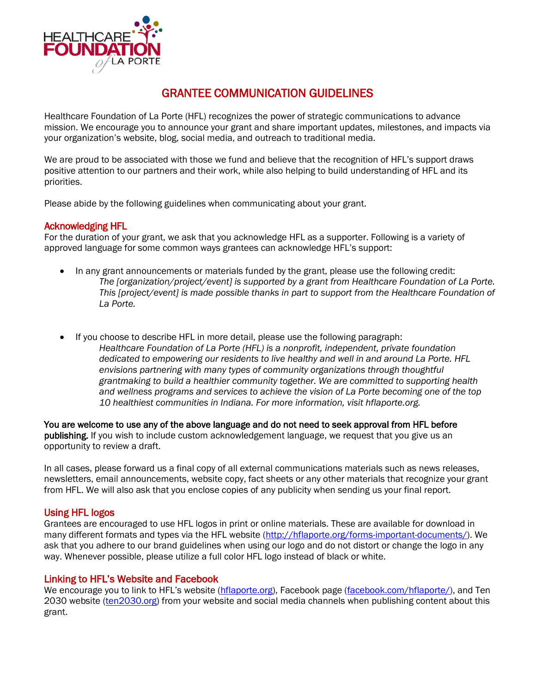

# GRANTEE COMMUNICATION GUIDELINES

Healthcare Foundation of La Porte (HFL) recognizes the power of strategic communications to advance mission. We encourage you to announce your grant and share important updates, milestones, and impacts via your organization's website, blog, social media, and outreach to traditional media.

We are proud to be associated with those we fund and believe that the recognition of HFL's support draws positive attention to our partners and their work, while also helping to build understanding of HFL and its priorities.

Please abide by the following guidelines when communicating about your grant.

# Acknowledging HFL

For the duration of your grant, we ask that you acknowledge HFL as a supporter. Following is a variety of approved language for some common ways grantees can acknowledge HFL's support:

- In any grant announcements or materials funded by the grant, please use the following credit: *The [organization/project/event] is supported by a grant from Healthcare Foundation of La Porte. This [project/event] is made possible thanks in part to support from the Healthcare Foundation of La Porte.*
- If you choose to describe HFL in more detail, please use the following paragraph: *Healthcare Foundation of La Porte (HFL) is a nonprofit, independent, private foundation dedicated to empowering our residents to live healthy and well in and around La Porte. HFL envisions partnering with many types of community organizations through thoughtful grantmaking to build a healthier community together. We are committed to supporting health and wellness programs and services to achieve the vision of La Porte becoming one of the top 10 healthiest communities in Indiana. For more information, visit hflaporte.org.*

You are welcome to use any of the above language and do not need to seek approval from HFL before publishing. If you wish to include custom acknowledgement language, we request that you give us an opportunity to review a draft.

In all cases, please forward us a final copy of all external communications materials such as news releases, newsletters, email announcements, website copy, fact sheets or any other materials that recognize your grant from HFL. We will also ask that you enclose copies of any publicity when sending us your final report.

# Using HFL logos

Grantees are encouraged to use HFL logos in print or online materials. These are available for download in many different formats and types via the HFL website [\(http://hflaporte.org/forms-important-documents/\)](http://hflaporte.org/forms-important-documents/). We ask that you adhere to our brand guidelines when using our logo and do not distort or change the logo in any way. Whenever possible, please utilize a full color HFL logo instead of black or white.

# Linking to HFL's Website and Facebook

We encourage you to link to HFL's website [\(hflaporte.org\)](http://hflaporte.org/), Facebook page [\(facebook.com/hflaporte/\)](http://www.facebook.com/hflaporte/), and Ten 2030 website [\(ten2030.org\)](http://www.ten2030.org/) from your website and social media channels when publishing content about this grant.